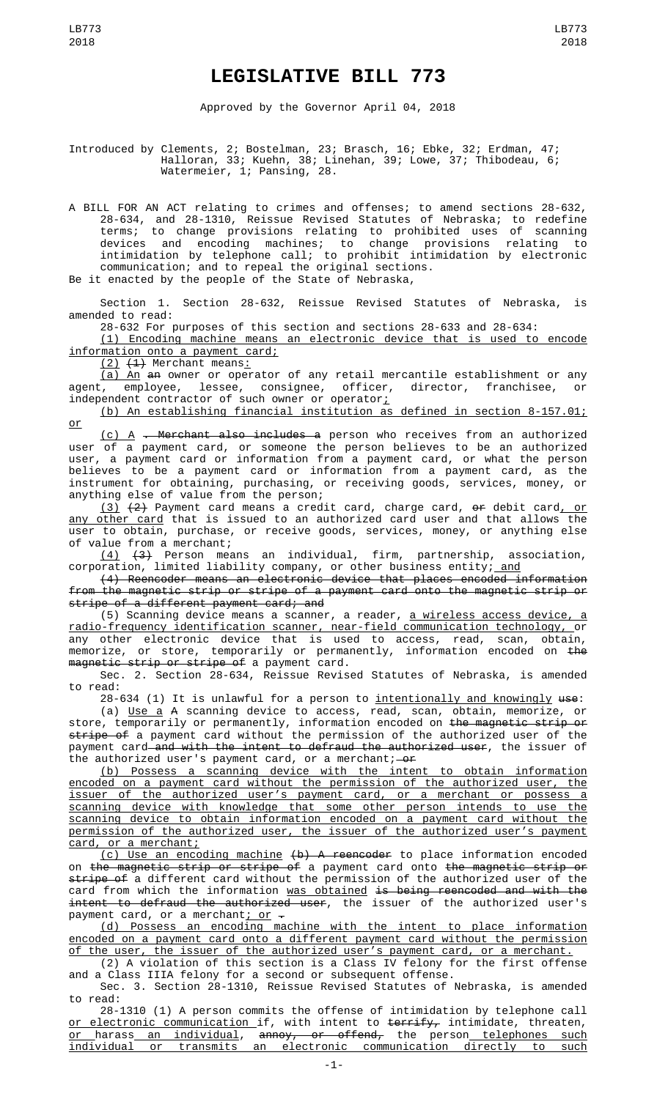## **LEGISLATIVE BILL 773**

Approved by the Governor April 04, 2018

Introduced by Clements, 2; Bostelman, 23; Brasch, 16; Ebke, 32; Erdman, 47; Halloran, 33; Kuehn, 38; Linehan, 39; Lowe, 37; Thibodeau, 6; Watermeier, 1; Pansing, 28.

A BILL FOR AN ACT relating to crimes and offenses; to amend sections 28-632, 28-634, and 28-1310, Reissue Revised Statutes of Nebraska; to redefine terms; to change provisions relating to prohibited uses of scanning devices and encoding machines; to change provisions relating to intimidation by telephone call; to prohibit intimidation by electronic communication; and to repeal the original sections. Be it enacted by the people of the State of Nebraska,

Section 1. Section 28-632, Reissue Revised Statutes of Nebraska, is amended to read:

28-632 For purposes of this section and sections 28-633 and 28-634:

(1) Encoding machine means an electronic device that is used to encode information onto a payment card;

(2) (1) Merchant means:

 $\overline{a}$ ) An  $a$ n owner or operator of any retail mercantile establishment or any agent, employee, lessee, consignee, officer, director, franchisee, or independent contractor of such owner or operator<u>;</u>

(b) An establishing financial institution as defined in section 8-157.01; or

(c) A . Merchant also includes a person who receives from an authorized user of a payment card, or someone the person believes to be an authorized user, a payment card or information from a payment card, or what the person believes to be a payment card or information from a payment card, as the instrument for obtaining, purchasing, or receiving goods, services, money, or anything else of value from the person;

(3) (2) Payment card means a credit card, charge card, or debit card, or any other card that is issued to an authorized card user and that allows the user to obtain, purchase, or receive goods, services, money, or anything else of value from a merchant;

(4) (3) Person means an individual, firm, partnership, association, corporation, limited liability company, or other business entity; <u>and</u>

(4) Reencoder means an electronic device that places encoded information from the magnetic strip or stripe of a payment card onto the magnetic strip or stripe of a different payment card; and

(5) Scanning device means a scanner, a reader, <u>a wireless access device, a</u> radio-frequency identification scanner, near-field communication technology, or any other electronic device that is used to access, read, scan, obtain, memorize, or store, temporarily or permanently, information encoded on <del>the</del> magnetic strip or stripe of a payment card.

Sec. 2. Section 28-634, Reissue Revised Statutes of Nebraska, is amended to read:

28-634 (1) It is unlawful for a person to intentionally and knowingly use:

(a) Use a A scanning device to access, read, scan, obtain, memorize, or store, temporarily or permanently, information encoded on <del>the magnetic strip or</del> stripe of a payment card without the permission of the authorized user of the payment card and with the intent to defraud the authorized user, the issuer of the authorized user's payment card, or a merchant;  $-0f$ 

(b) Possess a scanning device with the intent to obtain information encoded on a payment card without the permission of the authorized user, the issuer of the authorized user's payment card, or a merchant or possess a<br>scanning device with knowledge that some other person intends to use the scanning device with knowledge that some other person intends to use the scanning device to obtain information encoded on a payment card without the permission of the authorized user, the issuer of the authorized user's payment card, or a merchant;

(c) Use an encoding machine (b) A reencoder to place information encoded on the magnetic strip or stripe of a payment card onto the magnetic strip or stripe of a different card without the permission of the authorized user of the card from which the information was obtained is being reencoded and with the intent to defraud the authorized user, the issuer of the authorized user's payment card, or a merchant; or  $-$ 

(d) Possess an encoding machine with the intent to place information encoded on a payment card onto a different payment card without the permission of the user, the issuer of the authorized user's payment card, or a merchant.

(2) A violation of this section is a Class IV felony for the first offense and a Class IIIA felony for a second or subsequent offense.

Sec. 3. Section 28-1310, Reissue Revised Statutes of Nebraska, is amended to read:

28-1310 (1) A person commits the offense of intimidation by telephone call <u>or electronic communication </u>if, with intent to <del>terrify,</del> intimidate, threaten, <u>or harass an individual</u>, <del>annoy, or offend,</del> the person <u>telephones such</u> individual or transmits an electronic communication directly to such